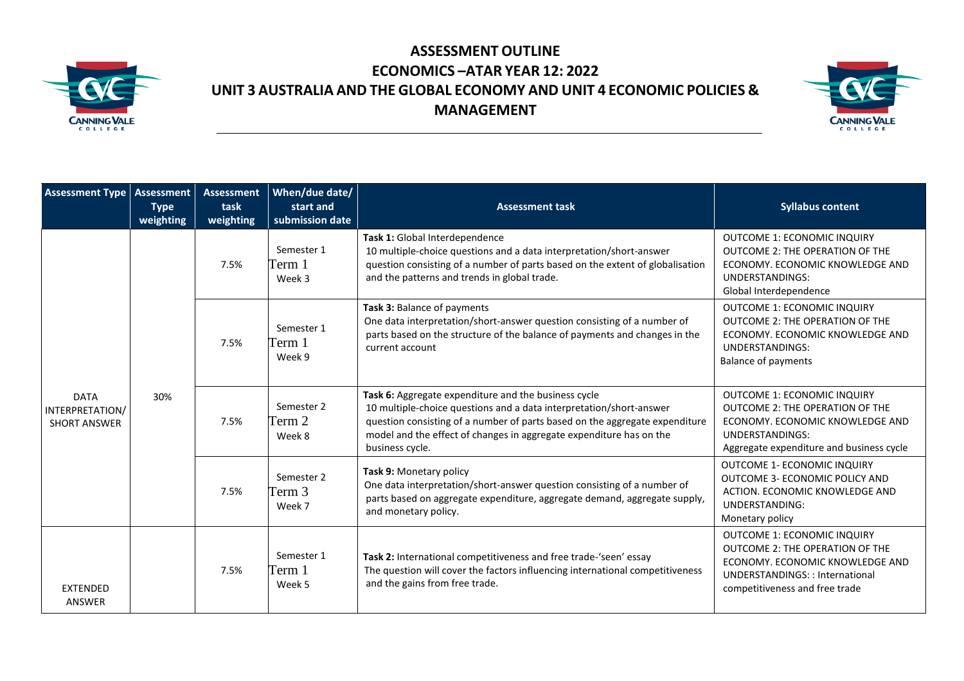

## **ASSESSMENT OUTLINE ECONOMICS –ATAR YEAR 12: 2022 UNIT 3 AUSTRALIA AND THE GLOBAL ECONOMY AND UNIT 4 ECONOMIC POLICIES & MANAGEMENT**



| <b>Assessment Type   Assessment</b>                   | <b>Type</b><br>weighting | <b>Assessment</b><br>task<br>weighting | When/due date/<br>start and<br>submission date | <b>Assessment task</b>                                                                                                                                                                                                                                                                               | <b>Syllabus content</b>                                                                                                                                                      |
|-------------------------------------------------------|--------------------------|----------------------------------------|------------------------------------------------|------------------------------------------------------------------------------------------------------------------------------------------------------------------------------------------------------------------------------------------------------------------------------------------------------|------------------------------------------------------------------------------------------------------------------------------------------------------------------------------|
|                                                       | 30%                      | 7.5%                                   | Semester 1<br>Ferm 1<br>Week 3                 | Task 1: Global Interdependence<br>10 multiple-choice questions and a data interpretation/short-answer<br>question consisting of a number of parts based on the extent of globalisation<br>and the patterns and trends in global trade.                                                               | <b>OUTCOME 1: ECONOMIC INQUIRY</b><br><b>OUTCOME 2: THE OPERATION OF THE</b><br>ECONOMY. ECONOMIC KNOWLEDGE AND<br><b>UNDERSTANDINGS:</b><br>Global Interdependence          |
|                                                       |                          | 7.5%                                   | Semester 1<br>Ferm 1<br>Week 9                 | Task 3: Balance of payments<br>One data interpretation/short-answer question consisting of a number of<br>parts based on the structure of the balance of payments and changes in the<br>current account                                                                                              | OUTCOME 1: ECONOMIC INQUIRY<br>OUTCOME 2: THE OPERATION OF THE<br>ECONOMY, ECONOMIC KNOWLEDGE AND<br><b>UNDERSTANDINGS:</b><br><b>Balance of payments</b>                    |
| <b>DATA</b><br>INTERPRETATION/<br><b>SHORT ANSWER</b> |                          | 7.5%                                   | Semester 2<br>Ferm 2<br>Week 8                 | Task 6: Aggregate expenditure and the business cycle<br>10 multiple-choice questions and a data interpretation/short-answer<br>question consisting of a number of parts based on the aggregate expenditure<br>model and the effect of changes in aggregate expenditure has on the<br>business cycle. | <b>OUTCOME 1: ECONOMIC INQUIRY</b><br>OUTCOME 2: THE OPERATION OF THE<br>ECONOMY, ECONOMIC KNOWLEDGE AND<br>UNDERSTANDINGS:<br>Aggregate expenditure and business cycle      |
|                                                       |                          | 7.5%                                   | Semester 2<br>Ferm 3<br>Week 7                 | Task 9: Monetary policy<br>One data interpretation/short-answer question consisting of a number of<br>parts based on aggregate expenditure, aggregate demand, aggregate supply,<br>and monetary policy.                                                                                              | <b>OUTCOME 1- ECONOMIC INQUIRY</b><br><b>OUTCOME 3- ECONOMIC POLICY AND</b><br>ACTION. ECONOMIC KNOWLEDGE AND<br>UNDERSTANDING:<br>Monetary policy                           |
| <b>EXTENDED</b><br>ANSWER                             |                          | 7.5%                                   | Semester 1<br>Ferm 1<br>Week 5                 | Task 2: International competitiveness and free trade-'seen' essay<br>The question will cover the factors influencing international competitiveness<br>and the gains from free trade.                                                                                                                 | <b>OUTCOME 1: ECONOMIC INQUIRY</b><br>OUTCOME 2: THE OPERATION OF THE<br>ECONOMY, ECONOMIC KNOWLEDGE AND<br>UNDERSTANDINGS:: International<br>competitiveness and free trade |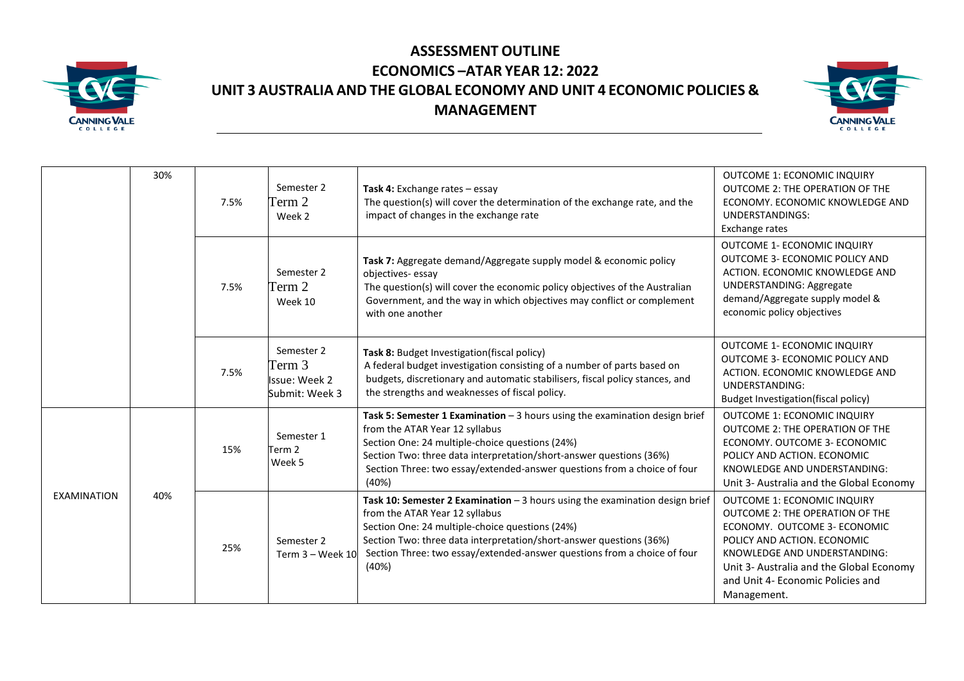

## **ASSESSMENT OUTLINE ECONOMICS –ATAR YEAR 12: 2022 UNIT 3 AUSTRALIA AND THE GLOBAL ECONOMY AND UNIT 4 ECONOMIC POLICIES & MANAGEMENT**



|  |                    | 30% | 7.5% | Semester 2<br>Term 2<br>Week 2                          | Task 4: Exchange rates - essay<br>The question(s) will cover the determination of the exchange rate, and the<br>impact of changes in the exchange rate                                                                                                                                                                         | OUTCOME 1: ECONOMIC INQUIRY<br>OUTCOME 2: THE OPERATION OF THE<br>ECONOMY, ECONOMIC KNOWLEDGE AND<br><b>UNDERSTANDINGS:</b><br>Exchange rates                                                                                                                        |
|--|--------------------|-----|------|---------------------------------------------------------|--------------------------------------------------------------------------------------------------------------------------------------------------------------------------------------------------------------------------------------------------------------------------------------------------------------------------------|----------------------------------------------------------------------------------------------------------------------------------------------------------------------------------------------------------------------------------------------------------------------|
|  |                    |     | 7.5% | Semester 2<br>Term 2<br>Week 10                         | Task 7: Aggregate demand/Aggregate supply model & economic policy<br>objectives-essay<br>The question(s) will cover the economic policy objectives of the Australian<br>Government, and the way in which objectives may conflict or complement<br>with one another                                                             | OUTCOME 1- ECONOMIC INQUIRY<br>OUTCOME 3- ECONOMIC POLICY AND<br>ACTION. ECONOMIC KNOWLEDGE AND<br><b>UNDERSTANDING: Aggregate</b><br>demand/Aggregate supply model &<br>economic policy objectives                                                                  |
|  |                    |     | 7.5% | Semester 2<br>Term 3<br>Issue: Week 2<br>Submit: Week 3 | Task 8: Budget Investigation(fiscal policy)<br>A federal budget investigation consisting of a number of parts based on<br>budgets, discretionary and automatic stabilisers, fiscal policy stances, and<br>the strengths and weaknesses of fiscal policy.                                                                       | <b>OUTCOME 1- ECONOMIC INQUIRY</b><br>OUTCOME 3- ECONOMIC POLICY AND<br>ACTION. ECONOMIC KNOWLEDGE AND<br><b>UNDERSTANDING:</b><br><b>Budget Investigation(fiscal policy)</b>                                                                                        |
|  |                    |     | 15%  | Semester 1<br>Term <sub>2</sub><br>Week 5               | Task 5: Semester 1 Examination $-3$ hours using the examination design brief<br>from the ATAR Year 12 syllabus<br>Section One: 24 multiple-choice questions (24%)<br>Section Two: three data interpretation/short-answer questions (36%)<br>Section Three: two essay/extended-answer questions from a choice of four<br>(40%)  | OUTCOME 1: ECONOMIC INQUIRY<br><b>OUTCOME 2: THE OPERATION OF THE</b><br>ECONOMY. OUTCOME 3- ECONOMIC<br>POLICY AND ACTION. ECONOMIC<br>KNOWLEDGE AND UNDERSTANDING:<br>Unit 3- Australia and the Global Economy                                                     |
|  | <b>EXAMINATION</b> | 40% | 25%  | Semester 2<br>Term 3 - Week 10                          | Task 10: Semester 2 Examination $-3$ hours using the examination design brief<br>from the ATAR Year 12 syllabus<br>Section One: 24 multiple-choice questions (24%)<br>Section Two: three data interpretation/short-answer questions (36%)<br>Section Three: two essay/extended-answer questions from a choice of four<br>(40%) | OUTCOME 1: ECONOMIC INQUIRY<br><b>OUTCOME 2: THE OPERATION OF THE</b><br>ECONOMY. OUTCOME 3- ECONOMIC<br>POLICY AND ACTION. ECONOMIC<br>KNOWLEDGE AND UNDERSTANDING:<br>Unit 3- Australia and the Global Economy<br>and Unit 4- Economic Policies and<br>Management. |